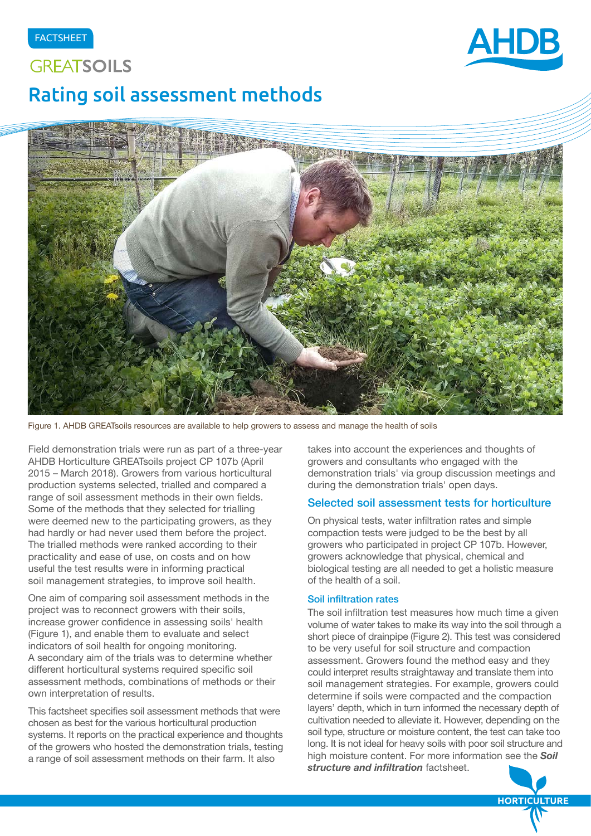# **GREATSOILS** Rating soil assessment methods





Figure 1. AHDB GREATsoils resources are available to help growers to assess and manage the health of soils

Field demonstration trials were run as part of a three-year AHDB Horticulture GREATsoils project CP 107b (April 2015 – March 2018). Growers from various horticultural production systems selected, trialled and compared a range of soil assessment methods in their own fields. Some of the methods that they selected for trialling were deemed new to the participating growers, as they had hardly or had never used them before the project. The trialled methods were ranked according to their practicality and ease of use, on costs and on how useful the test results were in informing practical soil management strategies, to improve soil health.

One aim of comparing soil assessment methods in the project was to reconnect growers with their soils, increase grower confidence in assessing soils' health (Figure 1), and enable them to evaluate and select indicators of soil health for ongoing monitoring. A secondary aim of the trials was to determine whether different horticultural systems required specific soil assessment methods, combinations of methods or their own interpretation of results.

This factsheet specifies soil assessment methods that were chosen as best for the various horticultural production systems. It reports on the practical experience and thoughts of the growers who hosted the demonstration trials, testing a range of soil assessment methods on their farm. It also

takes into account the experiences and thoughts of growers and consultants who engaged with the demonstration trials' via group discussion meetings and during the demonstration trials' open days.

### Selected soil assessment tests for horticulture

On physical tests, water infiltration rates and simple compaction tests were judged to be the best by all growers who participated in project CP 107b. However, growers acknowledge that physical, chemical and biological testing are all needed to get a holistic measure of the health of a soil.

#### Soil infiltration rates

The soil infiltration test measures how much time a given volume of water takes to make its way into the soil through a short piece of drainpipe (Figure 2). This test was considered to be very useful for soil structure and compaction assessment. Growers found the method easy and they could interpret results straightaway and translate them into soil management strategies. For example, growers could determine if soils were compacted and the compaction layers' depth, which in turn informed the necessary depth of cultivation needed to alleviate it. However, depending on the soil type, structure or moisture content, the test can take too long. It is not ideal for heavy soils with poor soil structure and high moisture content. For more information see the *Soil structure and infiltration* factsheet.

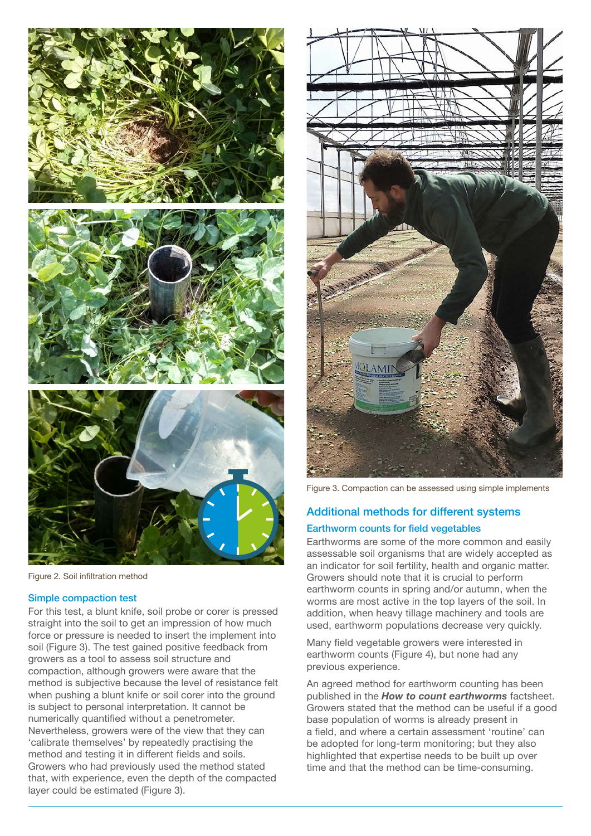

Figure 2. Soil infiltration method

#### Simple compaction test

For this test, a blunt knife, soil probe or corer is pressed straight into the soil to get an impression of how much force or pressure is needed to insert the implement into soil (Figure 3). The test gained positive feedback from growers as a tool to assess soil structure and compaction, although growers were aware that the method is subjective because the level of resistance felt when pushing a blunt knife or soil corer into the ground is subject to personal interpretation. It cannot be numerically quantified without a penetrometer. Nevertheless, growers were of the view that they can 'calibrate themselves' by repeatedly practising the method and testing it in different fields and soils. Growers who had previously used the method stated that, with experience, even the depth of the compacted layer could be estimated (Figure 3).



Figure 3. Compaction can be assessed using simple implements

# Additional methods for different systems

#### Earthworm counts for field vegetables

Earthworms are some of the more common and easily assessable soil organisms that are widely accepted as an indicator for soil fertility, health and organic matter. Growers should note that it is crucial to perform earthworm counts in spring and/or autumn, when the worms are most active in the top layers of the soil. In addition, when heavy tillage machinery and tools are used, earthworm populations decrease very quickly.

Many field vegetable growers were interested in earthworm counts (Figure 4), but none had any previous experience.

An agreed method for earthworm counting has been published in the *How to count earthworms* factsheet. Growers stated that the method can be useful if a good base population of worms is already present in a field, and where a certain assessment 'routine' can be adopted for long-term monitoring; but they also highlighted that expertise needs to be built up over time and that the method can be time-consuming.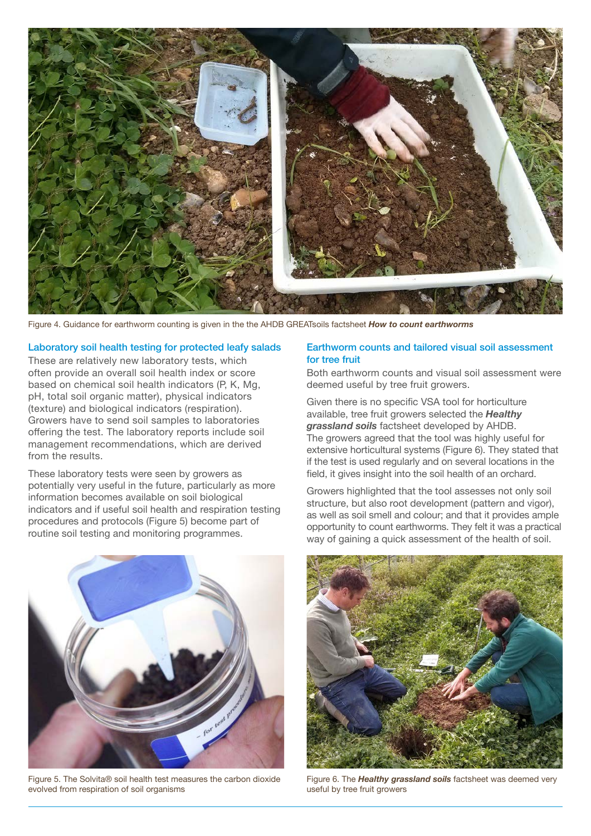

Figure 4. Guidance for earthworm counting is given in the the AHDB GREATsoils factsheet *How to count earthworms*

#### Laboratory soil health testing for protected leafy salads

These are relatively new laboratory tests, which often provide an overall soil health index or score based on chemical soil health indicators (P, K, Mg, pH, total soil organic matter), physical indicators (texture) and biological indicators (respiration). Growers have to send soil samples to laboratories offering the test. The laboratory reports include soil management recommendations, which are derived from the results.

These laboratory tests were seen by growers as potentially very useful in the future, particularly as more information becomes available on soil biological indicators and if useful soil health and respiration testing procedures and protocols (Figure 5) become part of routine soil testing and monitoring programmes.

#### Earthworm counts and tailored visual soil assessment for tree fruit

Both earthworm counts and visual soil assessment were deemed useful by tree fruit growers.

Given there is no specific VSA tool for horticulture available, tree fruit growers selected the *Healthy grassland soils* factsheet developed by AHDB. The growers agreed that the tool was highly useful for extensive horticultural systems (Figure 6). They stated that if the test is used regularly and on several locations in the field, it gives insight into the soil health of an orchard.

Growers highlighted that the tool assesses not only soil structure, but also root development (pattern and vigor), as well as soil smell and colour; and that it provides ample opportunity to count earthworms. They felt it was a practical way of gaining a quick assessment of the health of soil.



Figure 5. The Solvita® soil health test measures the carbon dioxide evolved from respiration of soil organisms



Figure 6. The *Healthy grassland soils* factsheet was deemed very useful by tree fruit growers